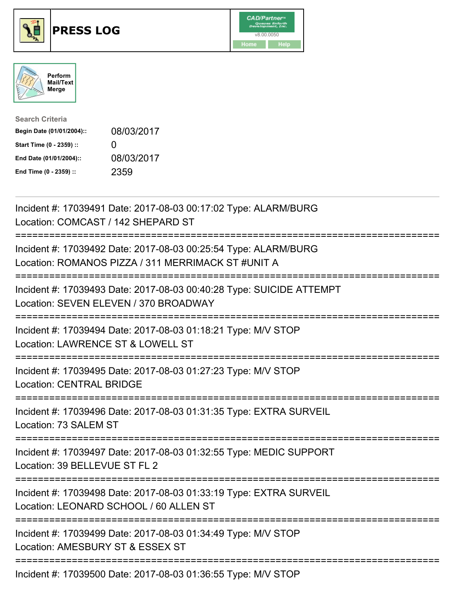

## **PRESS LOG** v8.00.0050





| <b>Search Criteria</b>    |                   |
|---------------------------|-------------------|
| Begin Date (01/01/2004):: | 08/03/2017        |
| Start Time (0 - 2359) ::  | $\mathbf{\Omega}$ |
| End Date (01/01/2004)::   | 08/03/2017        |
| End Time (0 - 2359) ::    | 2359              |

Incident #: 17039491 Date: 2017-08-03 00:17:02 Type: ALARM/BURG Location: COMCAST / 142 SHEPARD ST =========================================================================== Incident #: 17039492 Date: 2017-08-03 00:25:54 Type: ALARM/BURG Location: ROMANOS PIZZA / 311 MERRIMACK ST #UNIT A =========================================================================== Incident #: 17039493 Date: 2017-08-03 00:40:28 Type: SUICIDE ATTEMPT Location: SEVEN ELEVEN / 370 BROADWAY =========================================================================== Incident #: 17039494 Date: 2017-08-03 01:18:21 Type: M/V STOP Location: LAWRENCE ST & LOWELL ST =========================================================================== Incident #: 17039495 Date: 2017-08-03 01:27:23 Type: M/V STOP Location: CENTRAL BRIDGE =========================================================================== Incident #: 17039496 Date: 2017-08-03 01:31:35 Type: EXTRA SURVEIL Location: 73 SALEM ST =========================================================================== Incident #: 17039497 Date: 2017-08-03 01:32:55 Type: MEDIC SUPPORT Location: 39 BELLEVUE ST FL 2 =========================================================================== Incident #: 17039498 Date: 2017-08-03 01:33:19 Type: EXTRA SURVEIL Location: LEONARD SCHOOL / 60 ALLEN ST =========================================================================== Incident #: 17039499 Date: 2017-08-03 01:34:49 Type: M/V STOP Location: AMESBURY ST & ESSEX ST =========================================================================== Incident #: 17039500 Date: 2017-08-03 01:36:55 Type: M/V STOP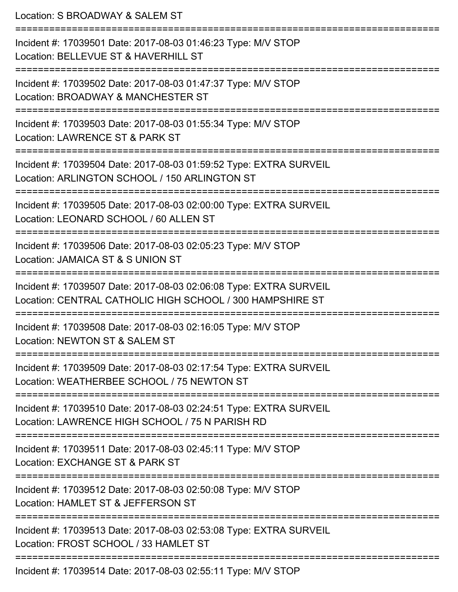Location: S BROADWAY & SALEM ST =========================================================================== Incident #: 17039501 Date: 2017-08-03 01:46:23 Type: M/V STOP Location: BELLEVUE ST & HAVERHILL ST =========================================================================== Incident #: 17039502 Date: 2017-08-03 01:47:37 Type: M/V STOP Location: BROADWAY & MANCHESTER ST =========================================================================== Incident #: 17039503 Date: 2017-08-03 01:55:34 Type: M/V STOP Location: LAWRENCE ST & PARK ST =========================================================================== Incident #: 17039504 Date: 2017-08-03 01:59:52 Type: EXTRA SURVEIL Location: ARLINGTON SCHOOL / 150 ARLINGTON ST =========================================================================== Incident #: 17039505 Date: 2017-08-03 02:00:00 Type: EXTRA SURVEIL Location: LEONARD SCHOOL / 60 ALLEN ST =========================================================================== Incident #: 17039506 Date: 2017-08-03 02:05:23 Type: M/V STOP Location: JAMAICA ST & S UNION ST =========================================================================== Incident #: 17039507 Date: 2017-08-03 02:06:08 Type: EXTRA SURVEIL Location: CENTRAL CATHOLIC HIGH SCHOOL / 300 HAMPSHIRE ST =========================================================================== Incident #: 17039508 Date: 2017-08-03 02:16:05 Type: M/V STOP Location: NEWTON ST & SALEM ST =========================================================================== Incident #: 17039509 Date: 2017-08-03 02:17:54 Type: EXTRA SURVEIL Location: WEATHERBEE SCHOOL / 75 NEWTON ST =========================================================================== Incident #: 17039510 Date: 2017-08-03 02:24:51 Type: EXTRA SURVEIL Location: LAWRENCE HIGH SCHOOL / 75 N PARISH RD =========================================================================== Incident #: 17039511 Date: 2017-08-03 02:45:11 Type: M/V STOP Location: EXCHANGE ST & PARK ST =========================================================================== Incident #: 17039512 Date: 2017-08-03 02:50:08 Type: M/V STOP Location: HAMLET ST & JEFFERSON ST =========================================================================== Incident #: 17039513 Date: 2017-08-03 02:53:08 Type: EXTRA SURVEIL Location: FROST SCHOOL / 33 HAMLET ST ===========================================================================

Incident #: 17039514 Date: 2017-08-03 02:55:11 Type: M/V STOP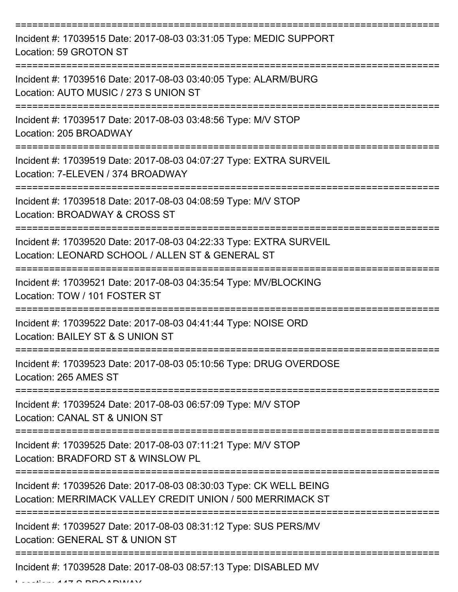| Incident #: 17039515 Date: 2017-08-03 03:31:05 Type: MEDIC SUPPORT<br>Location: 59 GROTON ST                                     |
|----------------------------------------------------------------------------------------------------------------------------------|
| Incident #: 17039516 Date: 2017-08-03 03:40:05 Type: ALARM/BURG<br>Location: AUTO MUSIC / 273 S UNION ST                         |
| Incident #: 17039517 Date: 2017-08-03 03:48:56 Type: M/V STOP<br>Location: 205 BROADWAY                                          |
| Incident #: 17039519 Date: 2017-08-03 04:07:27 Type: EXTRA SURVEIL<br>Location: 7-ELEVEN / 374 BROADWAY                          |
| Incident #: 17039518 Date: 2017-08-03 04:08:59 Type: M/V STOP<br>Location: BROADWAY & CROSS ST                                   |
| Incident #: 17039520 Date: 2017-08-03 04:22:33 Type: EXTRA SURVEIL<br>Location: LEONARD SCHOOL / ALLEN ST & GENERAL ST           |
| Incident #: 17039521 Date: 2017-08-03 04:35:54 Type: MV/BLOCKING<br>Location: TOW / 101 FOSTER ST                                |
| Incident #: 17039522 Date: 2017-08-03 04:41:44 Type: NOISE ORD<br>Location: BAILEY ST & S UNION ST                               |
| Incident #: 17039523 Date: 2017-08-03 05:10:56 Type: DRUG OVERDOSE<br>Location: 265 AMES ST<br>------------------                |
| Incident #: 17039524 Date: 2017-08-03 06:57:09 Type: M/V STOP<br>Location: CANAL ST & UNION ST                                   |
| Incident #: 17039525 Date: 2017-08-03 07:11:21 Type: M/V STOP<br>Location: BRADFORD ST & WINSLOW PL                              |
| Incident #: 17039526 Date: 2017-08-03 08:30:03 Type: CK WELL BEING<br>Location: MERRIMACK VALLEY CREDIT UNION / 500 MERRIMACK ST |
| Incident #: 17039527 Date: 2017-08-03 08:31:12 Type: SUS PERS/MV<br>Location: GENERAL ST & UNION ST                              |
| Incident #: 17039528 Date: 2017-08-03 08:57:13 Type: DISABLED MV                                                                 |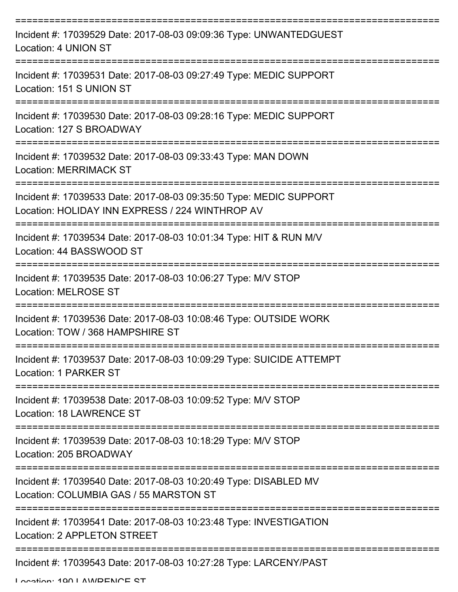| Incident #: 17039529 Date: 2017-08-03 09:09:36 Type: UNWANTEDGUEST<br>Location: 4 UNION ST                            |
|-----------------------------------------------------------------------------------------------------------------------|
| Incident #: 17039531 Date: 2017-08-03 09:27:49 Type: MEDIC SUPPORT<br>Location: 151 S UNION ST                        |
| Incident #: 17039530 Date: 2017-08-03 09:28:16 Type: MEDIC SUPPORT<br>Location: 127 S BROADWAY                        |
| Incident #: 17039532 Date: 2017-08-03 09:33:43 Type: MAN DOWN<br><b>Location: MERRIMACK ST</b>                        |
| Incident #: 17039533 Date: 2017-08-03 09:35:50 Type: MEDIC SUPPORT<br>Location: HOLIDAY INN EXPRESS / 224 WINTHROP AV |
| Incident #: 17039534 Date: 2017-08-03 10:01:34 Type: HIT & RUN M/V<br>Location: 44 BASSWOOD ST                        |
| Incident #: 17039535 Date: 2017-08-03 10:06:27 Type: M/V STOP<br><b>Location: MELROSE ST</b>                          |
| Incident #: 17039536 Date: 2017-08-03 10:08:46 Type: OUTSIDE WORK<br>Location: TOW / 368 HAMPSHIRE ST                 |
| Incident #: 17039537 Date: 2017-08-03 10:09:29 Type: SUICIDE ATTEMPT<br>Location: 1 PARKER ST                         |
| Incident #: 17039538 Date: 2017-08-03 10:09:52 Type: M/V STOP<br><b>Location: 18 LAWRENCE ST</b>                      |
| Incident #: 17039539 Date: 2017-08-03 10:18:29 Type: M/V STOP<br>Location: 205 BROADWAY                               |
| Incident #: 17039540 Date: 2017-08-03 10:20:49 Type: DISABLED MV<br>Location: COLUMBIA GAS / 55 MARSTON ST            |
| Incident #: 17039541 Date: 2017-08-03 10:23:48 Type: INVESTIGATION<br>Location: 2 APPLETON STREET                     |
| Incident #: 17039543 Date: 2017-08-03 10:27:28 Type: LARCENY/PAST                                                     |

Location: 100 LAWDENICE ST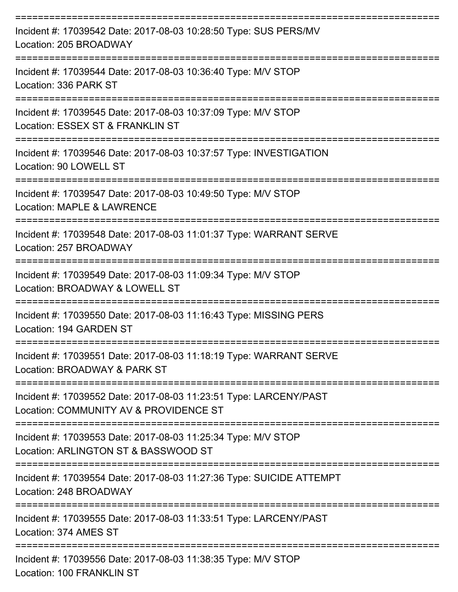| Incident #: 17039542 Date: 2017-08-03 10:28:50 Type: SUS PERS/MV<br>Location: 205 BROADWAY                  |
|-------------------------------------------------------------------------------------------------------------|
| Incident #: 17039544 Date: 2017-08-03 10:36:40 Type: M/V STOP<br>Location: 336 PARK ST                      |
| Incident #: 17039545 Date: 2017-08-03 10:37:09 Type: M/V STOP<br>Location: ESSEX ST & FRANKLIN ST           |
| Incident #: 17039546 Date: 2017-08-03 10:37:57 Type: INVESTIGATION<br>Location: 90 LOWELL ST                |
| Incident #: 17039547 Date: 2017-08-03 10:49:50 Type: M/V STOP<br>Location: MAPLE & LAWRENCE                 |
| Incident #: 17039548 Date: 2017-08-03 11:01:37 Type: WARRANT SERVE<br>Location: 257 BROADWAY                |
| Incident #: 17039549 Date: 2017-08-03 11:09:34 Type: M/V STOP<br>Location: BROADWAY & LOWELL ST             |
| Incident #: 17039550 Date: 2017-08-03 11:16:43 Type: MISSING PERS<br>Location: 194 GARDEN ST                |
| Incident #: 17039551 Date: 2017-08-03 11:18:19 Type: WARRANT SERVE<br>Location: BROADWAY & PARK ST          |
| Incident #: 17039552 Date: 2017-08-03 11:23:51 Type: LARCENY/PAST<br>Location: COMMUNITY AV & PROVIDENCE ST |
| Incident #: 17039553 Date: 2017-08-03 11:25:34 Type: M/V STOP<br>Location: ARLINGTON ST & BASSWOOD ST       |
| Incident #: 17039554 Date: 2017-08-03 11:27:36 Type: SUICIDE ATTEMPT<br>Location: 248 BROADWAY              |
| Incident #: 17039555 Date: 2017-08-03 11:33:51 Type: LARCENY/PAST<br>Location: 374 AMES ST                  |
| Incident #: 17039556 Date: 2017-08-03 11:38:35 Type: M/V STOP<br>Location: 100 FRANKLIN ST                  |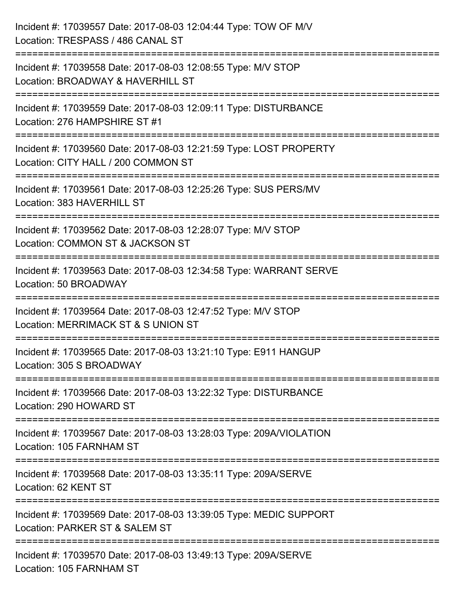| Incident #: 17039557 Date: 2017-08-03 12:04:44 Type: TOW OF M/V<br>Location: TRESPASS / 486 CANAL ST                           |
|--------------------------------------------------------------------------------------------------------------------------------|
| Incident #: 17039558 Date: 2017-08-03 12:08:55 Type: M/V STOP<br>Location: BROADWAY & HAVERHILL ST                             |
| Incident #: 17039559 Date: 2017-08-03 12:09:11 Type: DISTURBANCE<br>Location: 276 HAMPSHIRE ST #1                              |
| Incident #: 17039560 Date: 2017-08-03 12:21:59 Type: LOST PROPERTY<br>Location: CITY HALL / 200 COMMON ST                      |
| Incident #: 17039561 Date: 2017-08-03 12:25:26 Type: SUS PERS/MV<br>Location: 383 HAVERHILL ST<br>:================            |
| Incident #: 17039562 Date: 2017-08-03 12:28:07 Type: M/V STOP<br>Location: COMMON ST & JACKSON ST<br>========================= |
| Incident #: 17039563 Date: 2017-08-03 12:34:58 Type: WARRANT SERVE<br>Location: 50 BROADWAY                                    |
| Incident #: 17039564 Date: 2017-08-03 12:47:52 Type: M/V STOP<br>Location: MERRIMACK ST & S UNION ST                           |
| Incident #: 17039565 Date: 2017-08-03 13:21:10 Type: E911 HANGUP<br>Location: 305 S BROADWAY                                   |
| Incident #: 17039566 Date: 2017-08-03 13:22:32 Type: DISTURBANCE<br>Location: 290 HOWARD ST                                    |
| Incident #: 17039567 Date: 2017-08-03 13:28:03 Type: 209A/VIOLATION<br>Location: 105 FARNHAM ST                                |
| Incident #: 17039568 Date: 2017-08-03 13:35:11 Type: 209A/SERVE<br>Location: 62 KENT ST                                        |
| Incident #: 17039569 Date: 2017-08-03 13:39:05 Type: MEDIC SUPPORT<br>Location: PARKER ST & SALEM ST                           |
| Incident #: 17039570 Date: 2017-08-03 13:49:13 Type: 209A/SERVE<br>Location: 105 FARNHAM ST                                    |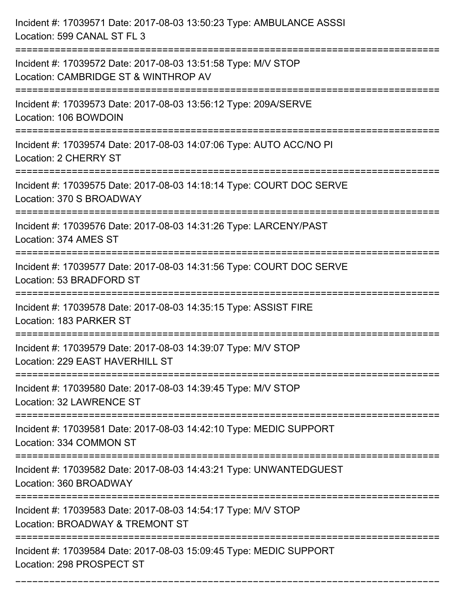| Incident #: 17039571 Date: 2017-08-03 13:50:23 Type: AMBULANCE ASSSI<br>Location: 599 CANAL ST FL 3                    |
|------------------------------------------------------------------------------------------------------------------------|
| Incident #: 17039572 Date: 2017-08-03 13:51:58 Type: M/V STOP<br>Location: CAMBRIDGE ST & WINTHROP AV                  |
| Incident #: 17039573 Date: 2017-08-03 13:56:12 Type: 209A/SERVE<br>Location: 106 BOWDOIN                               |
| Incident #: 17039574 Date: 2017-08-03 14:07:06 Type: AUTO ACC/NO PI<br>Location: 2 CHERRY ST                           |
| Incident #: 17039575 Date: 2017-08-03 14:18:14 Type: COURT DOC SERVE<br>Location: 370 S BROADWAY                       |
| Incident #: 17039576 Date: 2017-08-03 14:31:26 Type: LARCENY/PAST<br>Location: 374 AMES ST                             |
| Incident #: 17039577 Date: 2017-08-03 14:31:56 Type: COURT DOC SERVE<br>Location: 53 BRADFORD ST                       |
| Incident #: 17039578 Date: 2017-08-03 14:35:15 Type: ASSIST FIRE<br>Location: 183 PARKER ST                            |
| Incident #: 17039579 Date: 2017-08-03 14:39:07 Type: M/V STOP<br>Location: 229 EAST HAVERHILL ST                       |
| Incident #: 17039580 Date: 2017-08-03 14:39:45 Type: M/V STOP<br><b>Location: 32 LAWRENCE ST</b>                       |
| Incident #: 17039581 Date: 2017-08-03 14:42:10 Type: MEDIC SUPPORT<br>Location: 334 COMMON ST                          |
| Incident #: 17039582 Date: 2017-08-03 14:43:21 Type: UNWANTEDGUEST<br>Location: 360 BROADWAY<br>---------------------- |
| Incident #: 17039583 Date: 2017-08-03 14:54:17 Type: M/V STOP<br>Location: BROADWAY & TREMONT ST                       |
| Incident #: 17039584 Date: 2017-08-03 15:09:45 Type: MEDIC SUPPORT<br>Location: 298 PROSPECT ST                        |

===========================================================================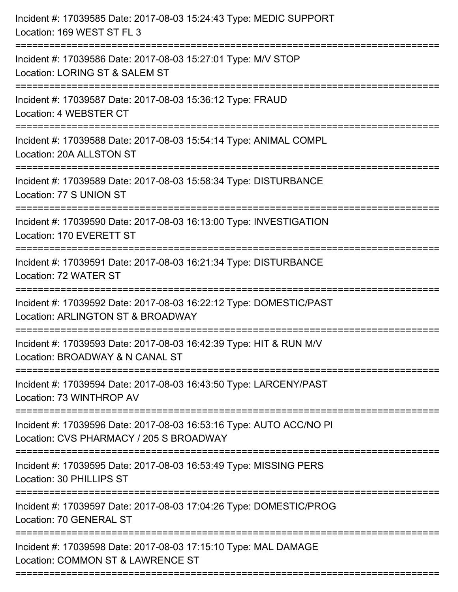| Incident #: 17039585 Date: 2017-08-03 15:24:43 Type: MEDIC SUPPORT<br>Location: 169 WEST ST FL 3                                   |
|------------------------------------------------------------------------------------------------------------------------------------|
| Incident #: 17039586 Date: 2017-08-03 15:27:01 Type: M/V STOP<br>Location: LORING ST & SALEM ST<br>--------------------            |
| Incident #: 17039587 Date: 2017-08-03 15:36:12 Type: FRAUD<br>Location: 4 WEBSTER CT                                               |
| Incident #: 17039588 Date: 2017-08-03 15:54:14 Type: ANIMAL COMPL<br>Location: 20A ALLSTON ST                                      |
| Incident #: 17039589 Date: 2017-08-03 15:58:34 Type: DISTURBANCE<br>Location: 77 S UNION ST                                        |
| Incident #: 17039590 Date: 2017-08-03 16:13:00 Type: INVESTIGATION<br>Location: 170 EVERETT ST                                     |
| -------------------------------------<br>Incident #: 17039591 Date: 2017-08-03 16:21:34 Type: DISTURBANCE<br>Location: 72 WATER ST |
| Incident #: 17039592 Date: 2017-08-03 16:22:12 Type: DOMESTIC/PAST<br>Location: ARLINGTON ST & BROADWAY                            |
| Incident #: 17039593 Date: 2017-08-03 16:42:39 Type: HIT & RUN M/V<br>Location: BROADWAY & N CANAL ST                              |
| Incident #: 17039594 Date: 2017-08-03 16:43:50 Type: LARCENY/PAST<br>Location: 73 WINTHROP AV                                      |
| Incident #: 17039596 Date: 2017-08-03 16:53:16 Type: AUTO ACC/NO PI<br>Location: CVS PHARMACY / 205 S BROADWAY                     |
| Incident #: 17039595 Date: 2017-08-03 16:53:49 Type: MISSING PERS<br>Location: 30 PHILLIPS ST                                      |
| Incident #: 17039597 Date: 2017-08-03 17:04:26 Type: DOMESTIC/PROG<br>Location: 70 GENERAL ST                                      |
| Incident #: 17039598 Date: 2017-08-03 17:15:10 Type: MAL DAMAGE<br>Location: COMMON ST & LAWRENCE ST                               |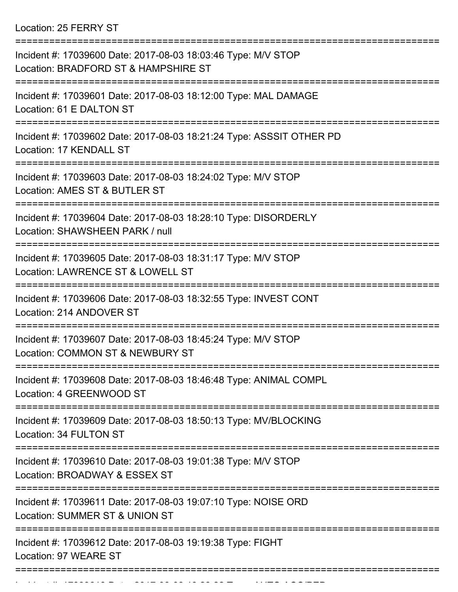Location: 25 FERRY ST

| Incident #: 17039600 Date: 2017-08-03 18:03:46 Type: M/V STOP<br>Location: BRADFORD ST & HAMPSHIRE ST |
|-------------------------------------------------------------------------------------------------------|
| Incident #: 17039601 Date: 2017-08-03 18:12:00 Type: MAL DAMAGE<br>Location: 61 E DALTON ST           |
| Incident #: 17039602 Date: 2017-08-03 18:21:24 Type: ASSSIT OTHER PD<br>Location: 17 KENDALL ST       |
| Incident #: 17039603 Date: 2017-08-03 18:24:02 Type: M/V STOP<br>Location: AMES ST & BUTLER ST        |
| Incident #: 17039604 Date: 2017-08-03 18:28:10 Type: DISORDERLY<br>Location: SHAWSHEEN PARK / null    |
| Incident #: 17039605 Date: 2017-08-03 18:31:17 Type: M/V STOP<br>Location: LAWRENCE ST & LOWELL ST    |
| Incident #: 17039606 Date: 2017-08-03 18:32:55 Type: INVEST CONT<br>Location: 214 ANDOVER ST          |
| Incident #: 17039607 Date: 2017-08-03 18:45:24 Type: M/V STOP<br>Location: COMMON ST & NEWBURY ST     |
| Incident #: 17039608 Date: 2017-08-03 18:46:48 Type: ANIMAL COMPL<br>Location: 4 GREENWOOD ST         |
| Incident #: 17039609 Date: 2017-08-03 18:50:13 Type: MV/BLOCKING<br>Location: 34 FULTON ST            |
| Incident #: 17039610 Date: 2017-08-03 19:01:38 Type: M/V STOP<br>Location: BROADWAY & ESSEX ST        |
| Incident #: 17039611 Date: 2017-08-03 19:07:10 Type: NOISE ORD<br>Location: SUMMER ST & UNION ST      |
| Incident #: 17039612 Date: 2017-08-03 19:19:38 Type: FIGHT<br>Location: 97 WEARE ST                   |
|                                                                                                       |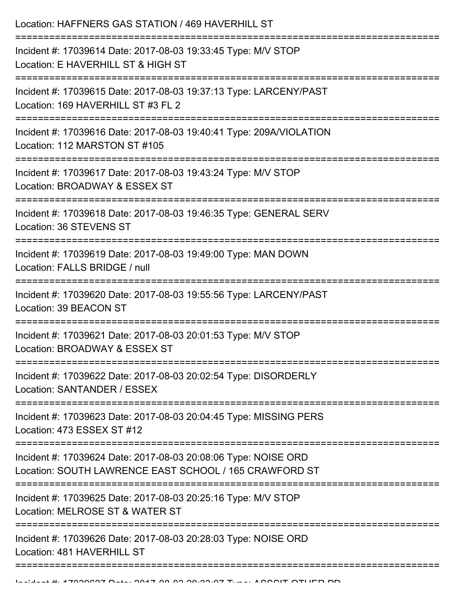| Location: HAFFNERS GAS STATION / 469 HAVERHILL ST                                                                                                      |
|--------------------------------------------------------------------------------------------------------------------------------------------------------|
| Incident #: 17039614 Date: 2017-08-03 19:33:45 Type: M/V STOP<br>Location: E HAVERHILL ST & HIGH ST<br>=============================                   |
| Incident #: 17039615 Date: 2017-08-03 19:37:13 Type: LARCENY/PAST<br>Location: 169 HAVERHILL ST #3 FL 2                                                |
| Incident #: 17039616 Date: 2017-08-03 19:40:41 Type: 209A/VIOLATION<br>Location: 112 MARSTON ST #105<br>===========================                    |
| Incident #: 17039617 Date: 2017-08-03 19:43:24 Type: M/V STOP<br>Location: BROADWAY & ESSEX ST                                                         |
| Incident #: 17039618 Date: 2017-08-03 19:46:35 Type: GENERAL SERV<br>Location: 36 STEVENS ST                                                           |
| Incident #: 17039619 Date: 2017-08-03 19:49:00 Type: MAN DOWN<br>Location: FALLS BRIDGE / null                                                         |
| Incident #: 17039620 Date: 2017-08-03 19:55:56 Type: LARCENY/PAST<br>Location: 39 BEACON ST<br>===================================<br>---------------- |
| Incident #: 17039621 Date: 2017-08-03 20:01:53 Type: M/V STOP<br>Location: BROADWAY & ESSEX ST                                                         |
| Incident #: 17039622 Date: 2017-08-03 20:02:54 Type: DISORDERLY<br>Location: SANTANDER / ESSEX                                                         |
| Incident #: 17039623 Date: 2017-08-03 20:04:45 Type: MISSING PERS<br>Location: 473 ESSEX ST #12                                                        |
| Incident #: 17039624 Date: 2017-08-03 20:08:06 Type: NOISE ORD<br>Location: SOUTH LAWRENCE EAST SCHOOL / 165 CRAWFORD ST                               |
| Incident #: 17039625 Date: 2017-08-03 20:25:16 Type: M/V STOP<br>Location: MELROSE ST & WATER ST                                                       |
| Incident #: 17039626 Date: 2017-08-03 20:28:03 Type: NOISE ORD<br>Location: 481 HAVERHILL ST                                                           |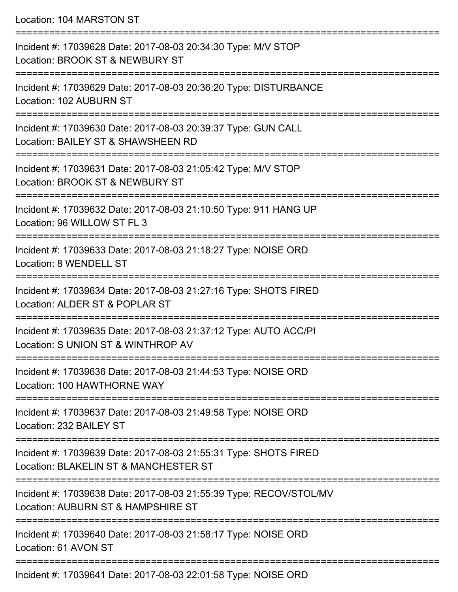Location: 104 MARSTON ST

=========================================================================== Incident #: 17039628 Date: 2017-08-03 20:34:30 Type: M/V STOP Location: BROOK ST & NEWBURY ST =========================================================================== Incident #: 17039629 Date: 2017-08-03 20:36:20 Type: DISTURBANCE Location: 102 AUBURN ST =========================================================================== Incident #: 17039630 Date: 2017-08-03 20:39:37 Type: GUN CALL Location: BAILEY ST & SHAWSHEEN RD =========================================================================== Incident #: 17039631 Date: 2017-08-03 21:05:42 Type: M/V STOP Location: BROOK ST & NEWBURY ST =========================================================================== Incident #: 17039632 Date: 2017-08-03 21:10:50 Type: 911 HANG UP Location: 96 WILLOW ST FL 3 =========================================================================== Incident #: 17039633 Date: 2017-08-03 21:18:27 Type: NOISE ORD Location: 8 WENDELL ST =========================================================================== Incident #: 17039634 Date: 2017-08-03 21:27:16 Type: SHOTS FIRED Location: ALDER ST & POPLAR ST =========================================================================== Incident #: 17039635 Date: 2017-08-03 21:37:12 Type: AUTO ACC/PI Location: S UNION ST & WINTHROP AV =========================================================================== Incident #: 17039636 Date: 2017-08-03 21:44:53 Type: NOISE ORD Location: 100 HAWTHORNE WAY =========================================================================== Incident #: 17039637 Date: 2017-08-03 21:49:58 Type: NOISE ORD Location: 232 BAILEY ST =========================================================================== Incident #: 17039639 Date: 2017-08-03 21:55:31 Type: SHOTS FIRED Location: BLAKELIN ST & MANCHESTER ST =========================================================================== Incident #: 17039638 Date: 2017-08-03 21:55:39 Type: RECOV/STOL/MV Location: AUBURN ST & HAMPSHIRE ST =========================================================================== Incident #: 17039640 Date: 2017-08-03 21:58:17 Type: NOISE ORD Location: 61 AVON ST ===========================================================================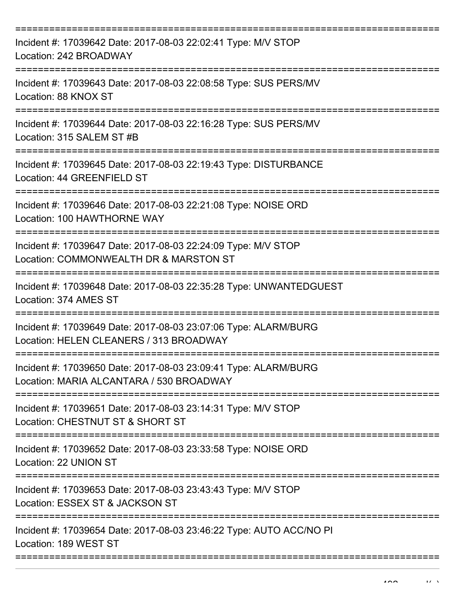| Incident #: 17039642 Date: 2017-08-03 22:02:41 Type: M/V STOP<br>Location: 242 BROADWAY                     |
|-------------------------------------------------------------------------------------------------------------|
| Incident #: 17039643 Date: 2017-08-03 22:08:58 Type: SUS PERS/MV<br>Location: 88 KNOX ST                    |
| Incident #: 17039644 Date: 2017-08-03 22:16:28 Type: SUS PERS/MV<br>Location: 315 SALEM ST #B               |
| Incident #: 17039645 Date: 2017-08-03 22:19:43 Type: DISTURBANCE<br>Location: 44 GREENFIELD ST              |
| Incident #: 17039646 Date: 2017-08-03 22:21:08 Type: NOISE ORD<br>Location: 100 HAWTHORNE WAY               |
| Incident #: 17039647 Date: 2017-08-03 22:24:09 Type: M/V STOP<br>Location: COMMONWEALTH DR & MARSTON ST     |
| Incident #: 17039648 Date: 2017-08-03 22:35:28 Type: UNWANTEDGUEST<br>Location: 374 AMES ST                 |
| Incident #: 17039649 Date: 2017-08-03 23:07:06 Type: ALARM/BURG<br>Location: HELEN CLEANERS / 313 BROADWAY  |
| Incident #: 17039650 Date: 2017-08-03 23:09:41 Type: ALARM/BURG<br>Location: MARIA ALCANTARA / 530 BROADWAY |
| Incident #: 17039651 Date: 2017-08-03 23:14:31 Type: M/V STOP<br>Location: CHESTNUT ST & SHORT ST           |
| Incident #: 17039652 Date: 2017-08-03 23:33:58 Type: NOISE ORD<br>Location: 22 UNION ST                     |
| Incident #: 17039653 Date: 2017-08-03 23:43:43 Type: M/V STOP<br>Location: ESSEX ST & JACKSON ST            |
| Incident #: 17039654 Date: 2017-08-03 23:46:22 Type: AUTO ACC/NO PI<br>Location: 189 WEST ST                |
|                                                                                                             |